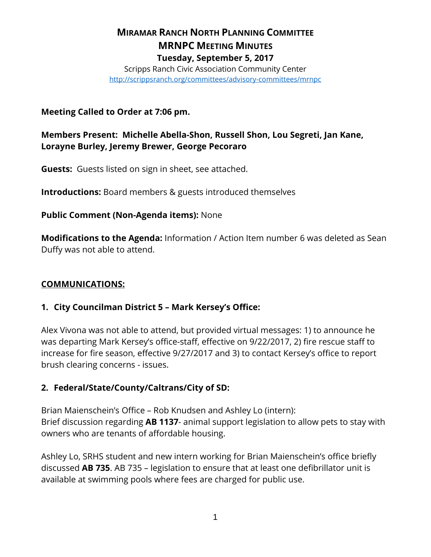# **MIRAMAR RANCH NORTH PLANNING COMMITTEE MRNPC MEETING MINUTES Tuesday, September 5, 2017**

Scripps Ranch Civic Association Community Center <http://scrippsranch.org/committees/advisory-committees/mrnpc>

## **Meeting Called to Order at 7:06 pm.**

**Members Present: Michelle Abella-Shon, Russell Shon, Lou Segreti, Jan Kane, Lorayne Burley, Jeremy Brewer, George Pecoraro**

**Guests:** Guests listed on sign in sheet, see attached.

**Introductions:** Board members & guests introduced themselves

## **Public Comment (Non-Agenda items):** None

**Modifications to the Agenda:** Information / Action Item number 6 was deleted as Sean Duffy was not able to attend.

## **COMMUNICATIONS:**

## **1. City Councilman District 5 – Mark Kersey's Office:**

Alex Vivona was not able to attend, but provided virtual messages: 1) to announce he was departing Mark Kersey's office-staff, effective on 9/22/2017, 2) fire rescue staff to increase for fire season, effective 9/27/2017 and 3) to contact Kersey's office to report brush clearing concerns - issues.

## **2. Federal/State/County/Caltrans/City of SD:**

Brian Maienschein's Office – Rob Knudsen and Ashley Lo (intern): Brief discussion regarding **AB 1137**- animal support legislation to allow pets to stay with owners who are tenants of affordable housing.

Ashley Lo, SRHS student and new intern working for Brian Maienschein's office briefly discussed **AB 735**. AB 735 – legislation to ensure that at least one defibrillator unit is available at swimming pools where fees are charged for public use.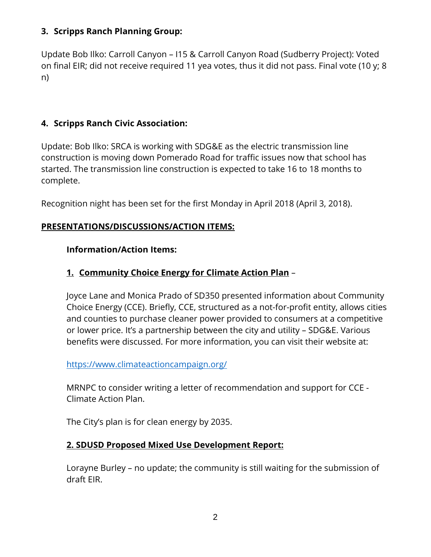## **3. Scripps Ranch Planning Group:**

Update Bob Ilko: Carroll Canyon – I15 & Carroll Canyon Road (Sudberry Project): Voted on final EIR; did not receive required 11 yea votes, thus it did not pass. Final vote (10 y; 8 n)

# **4. Scripps Ranch Civic Association:**

Update: Bob Ilko: SRCA is working with SDG&E as the electric transmission line construction is moving down Pomerado Road for traffic issues now that school has started. The transmission line construction is expected to take 16 to 18 months to complete.

Recognition night has been set for the first Monday in April 2018 (April 3, 2018).

## **PRESENTATIONS/DISCUSSIONS/ACTION ITEMS:**

#### **Information/Action Items:**

## **1. Community Choice Energy for Climate Action Plan** –

Joyce Lane and Monica Prado of SD350 presented information about Community Choice Energy (CCE). Briefly, CCE, structured as a not-for-profit entity, allows cities and counties to purchase cleaner power provided to consumers at a competitive or lower price. It's a partnership between the city and utility – SDG&E. Various benefits were discussed. For more information, you can visit their website at:

#### <https://www.climateactioncampaign.org/>

MRNPC to consider writing a letter of recommendation and support for CCE - Climate Action Plan.

The City's plan is for clean energy by 2035.

#### **2. SDUSD Proposed Mixed Use Development Report:**

Lorayne Burley – no update; the community is still waiting for the submission of draft EIR.